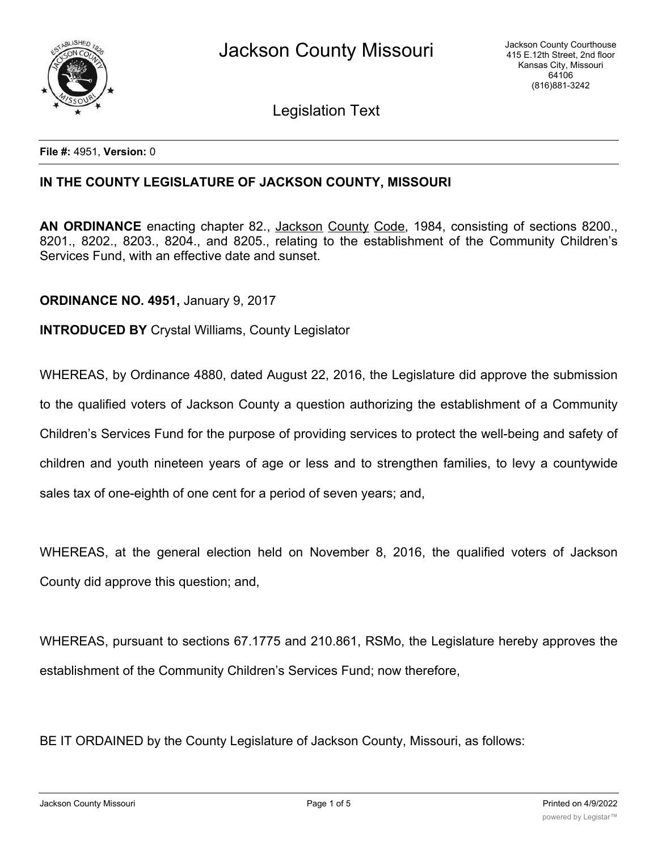

Legislation Text

**File #:** 4951, **Version:** 0

# **IN THE COUNTY LEGISLATURE OF JACKSON COUNTY, MISSOURI**

**AN ORDINANCE** enacting chapter 82., Jackson County Code, 1984, consisting of sections 8200., 8201., 8202., 8203., 8204., and 8205., relating to the establishment of the Community Children's Services Fund, with an effective date and sunset.

**ORDINANCE NO. 4951,** January 9, 2017

**INTRODUCED BY** Crystal Williams, County Legislator

WHEREAS, by Ordinance 4880, dated August 22, 2016, the Legislature did approve the submission

to the qualified voters of Jackson County a question authorizing the establishment of a Community

Children's Services Fund for the purpose of providing services to protect the well-being and safety of

children and youth nineteen years of age or less and to strengthen families, to levy a countywide

sales tax of one-eighth of one cent for a period of seven years; and,

WHEREAS, at the general election held on November 8, 2016, the qualified voters of Jackson County did approve this question; and,

WHEREAS, pursuant to sections 67.1775 and 210.861, RSMo, the Legislature hereby approves the establishment of the Community Children's Services Fund; now therefore,

BE IT ORDAINED by the County Legislature of Jackson County, Missouri, as follows: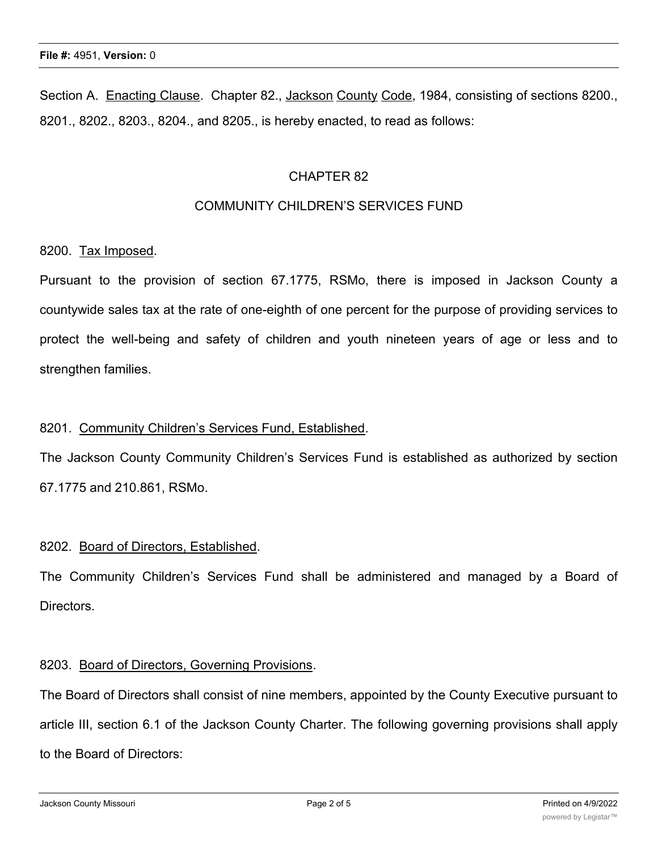Section A. Enacting Clause. Chapter 82., Jackson County Code, 1984, consisting of sections 8200., 8201., 8202., 8203., 8204., and 8205., is hereby enacted, to read as follows:

### CHAPTER 82

### COMMUNITY CHILDREN'S SERVICES FUND

#### 8200. Tax Imposed.

Pursuant to the provision of section 67.1775, RSMo, there is imposed in Jackson County a countywide sales tax at the rate of one-eighth of one percent for the purpose of providing services to protect the well-being and safety of children and youth nineteen years of age or less and to strengthen families.

#### 8201. Community Children's Services Fund, Established.

The Jackson County Community Children's Services Fund is established as authorized by section 67.1775 and 210.861, RSMo.

# 8202. Board of Directors, Established.

The Community Children's Services Fund shall be administered and managed by a Board of Directors.

#### 8203. Board of Directors, Governing Provisions.

The Board of Directors shall consist of nine members, appointed by the County Executive pursuant to article III, section 6.1 of the Jackson County Charter. The following governing provisions shall apply to the Board of Directors: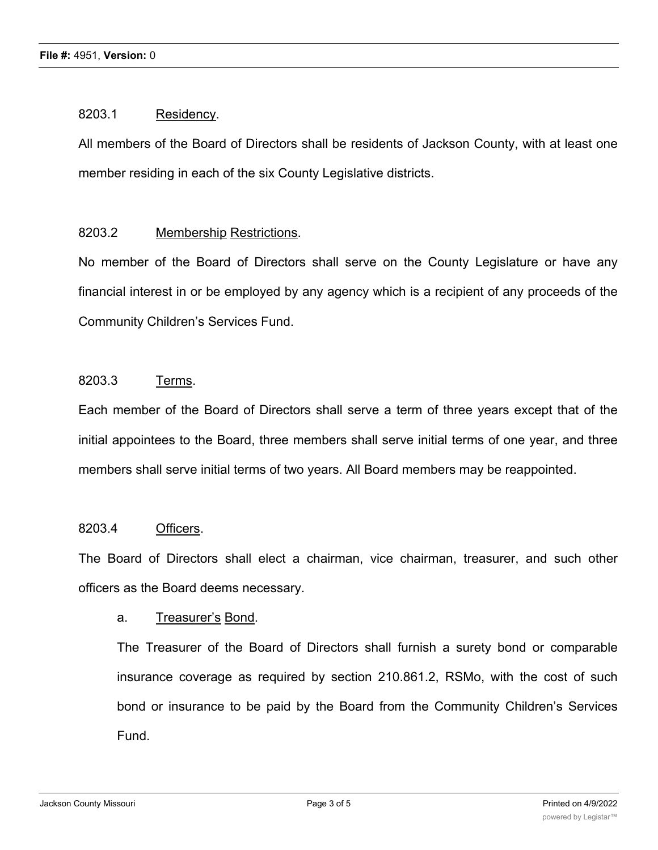### 8203.1 Residency.

All members of the Board of Directors shall be residents of Jackson County, with at least one member residing in each of the six County Legislative districts.

# 8203.2 Membership Restrictions.

No member of the Board of Directors shall serve on the County Legislature or have any financial interest in or be employed by any agency which is a recipient of any proceeds of the Community Children's Services Fund.

# 8203.3 Terms.

Each member of the Board of Directors shall serve a term of three years except that of the initial appointees to the Board, three members shall serve initial terms of one year, and three members shall serve initial terms of two years. All Board members may be reappointed.

#### 8203.4 Officers.

The Board of Directors shall elect a chairman, vice chairman, treasurer, and such other officers as the Board deems necessary.

#### a. Treasurer's Bond.

The Treasurer of the Board of Directors shall furnish a surety bond or comparable insurance coverage as required by section 210.861.2, RSMo, with the cost of such bond or insurance to be paid by the Board from the Community Children's Services Fund.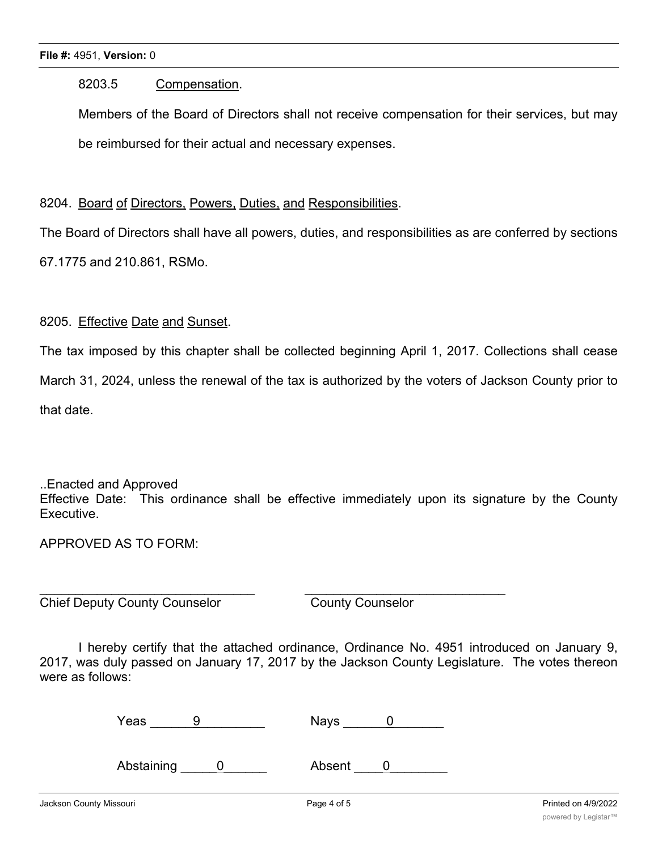### 8203.5 Compensation.

Members of the Board of Directors shall not receive compensation for their services, but may be reimbursed for their actual and necessary expenses.

# 8204. Board of Directors, Powers, Duties, and Responsibilities.

The Board of Directors shall have all powers, duties, and responsibilities as are conferred by sections

67.1775 and 210.861, RSMo.

# 8205. Effective Date and Sunset.

The tax imposed by this chapter shall be collected beginning April 1, 2017. Collections shall cease

March 31, 2024, unless the renewal of the tax is authorized by the voters of Jackson County prior to

that date.

..Enacted and Approved Effective Date: This ordinance shall be effective immediately upon its signature by the County Executive.

# APPROVED AS TO FORM:

**Chief Deputy County Counselor** County Counselor

I hereby certify that the attached ordinance, Ordinance No. 4951 introduced on January 9, 2017, was duly passed on January 17, 2017 by the Jackson County Legislature. The votes thereon were as follows:

| Yeas |  | Nays |  |
|------|--|------|--|
|------|--|------|--|

Abstaining 0 Absent 0

 $\overline{\phantom{a}}$  , and the contribution of the contribution of the contribution of the contribution of the contribution of the contribution of the contribution of the contribution of the contribution of the contribution of the